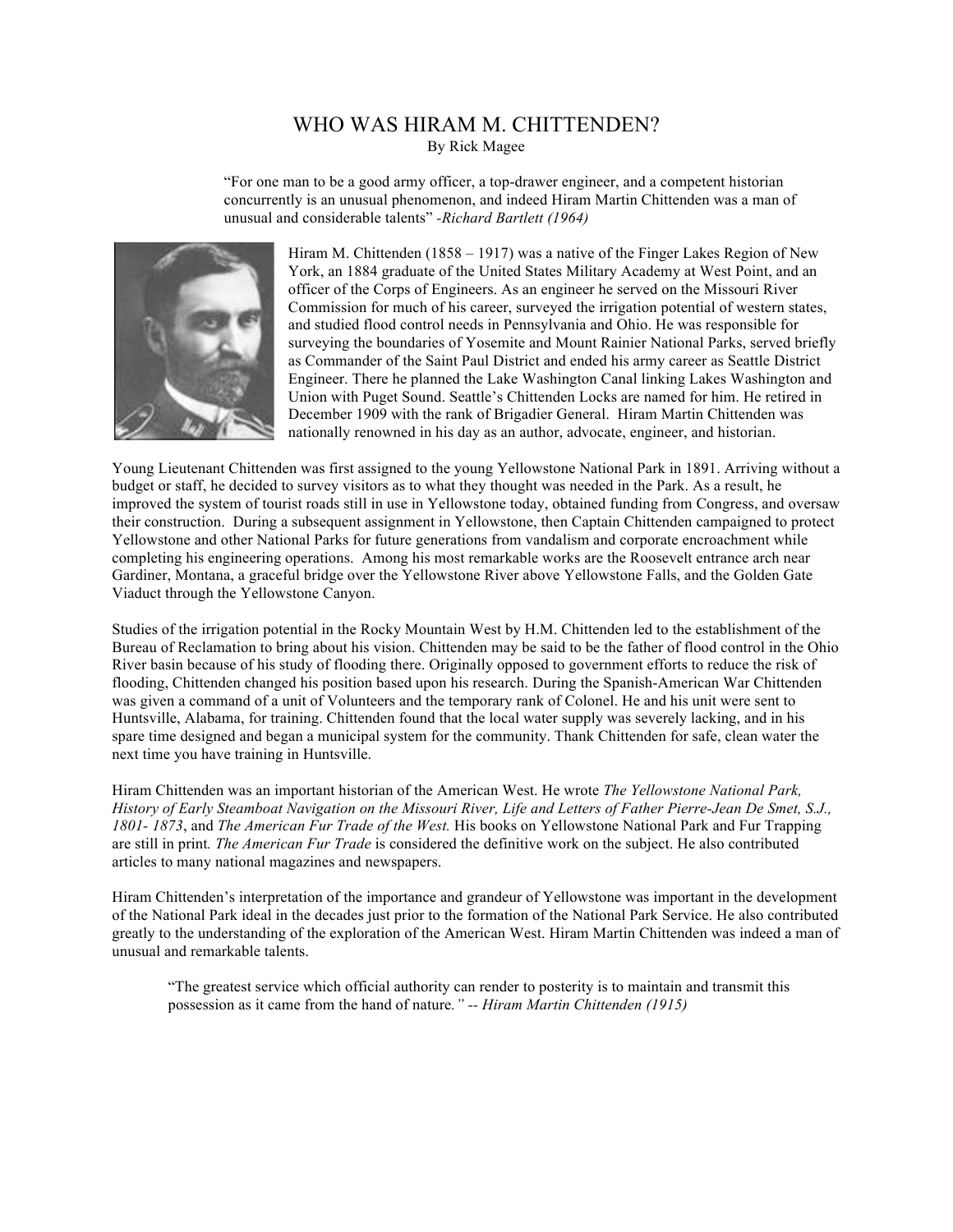## WHO WAS HIRAM M. CHITTENDEN? By Rick Magee

"For one man to be a good army officer, a top-drawer engineer, and a competent historian concurrently is an unusual phenomenon, and indeed Hiram Martin Chittenden was a man of unusual and considerable talents" *-Richard Bartlett (1964)*



Hiram M. Chittenden (1858 – 1917) was a native of the Finger Lakes Region of New York, an 1884 graduate of the United States Military Academy at West Point, and an officer of the Corps of Engineers. As an engineer he served on the Missouri River Commission for much of his career, surveyed the irrigation potential of western states, and studied flood control needs in Pennsylvania and Ohio. He was responsible for surveying the boundaries of Yosemite and Mount Rainier National Parks, served briefly as Commander of the Saint Paul District and ended his army career as Seattle District Engineer. There he planned the Lake Washington Canal linking Lakes Washington and Union with Puget Sound. Seattle's Chittenden Locks are named for him. He retired in December 1909 with the rank of Brigadier General. Hiram Martin Chittenden was nationally renowned in his day as an author, advocate, engineer, and historian.

Young Lieutenant Chittenden was first assigned to the young Yellowstone National Park in 1891. Arriving without a budget or staff, he decided to survey visitors as to what they thought was needed in the Park. As a result, he improved the system of tourist roads still in use in Yellowstone today, obtained funding from Congress, and oversaw their construction. During a subsequent assignment in Yellowstone, then Captain Chittenden campaigned to protect Yellowstone and other National Parks for future generations from vandalism and corporate encroachment while completing his engineering operations. Among his most remarkable works are the Roosevelt entrance arch near Gardiner, Montana, a graceful bridge over the Yellowstone River above Yellowstone Falls, and the Golden Gate Viaduct through the Yellowstone Canyon.

Studies of the irrigation potential in the Rocky Mountain West by H.M. Chittenden led to the establishment of the Bureau of Reclamation to bring about his vision. Chittenden may be said to be the father of flood control in the Ohio River basin because of his study of flooding there. Originally opposed to government efforts to reduce the risk of flooding, Chittenden changed his position based upon his research. During the Spanish-American War Chittenden was given a command of a unit of Volunteers and the temporary rank of Colonel. He and his unit were sent to Huntsville, Alabama, for training. Chittenden found that the local water supply was severely lacking, and in his spare time designed and began a municipal system for the community. Thank Chittenden for safe, clean water the next time you have training in Huntsville.

Hiram Chittenden was an important historian of the American West. He wrote *The Yellowstone National Park, History of Early Steamboat Navigation on the Missouri River, Life and Letters of Father Pierre-Jean De Smet, S.J., 1801- 1873*, and *The American Fur Trade of the West.* His books on Yellowstone National Park and Fur Trapping are still in print*. The American Fur Trade* is considered the definitive work on the subject. He also contributed articles to many national magazines and newspapers.

Hiram Chittenden's interpretation of the importance and grandeur of Yellowstone was important in the development of the National Park ideal in the decades just prior to the formation of the National Park Service. He also contributed greatly to the understanding of the exploration of the American West. Hiram Martin Chittenden was indeed a man of unusual and remarkable talents.

"The greatest service which official authority can render to posterity is to maintain and transmit this possession as it came from the hand of nature*." -- Hiram Martin Chittenden (1915)*